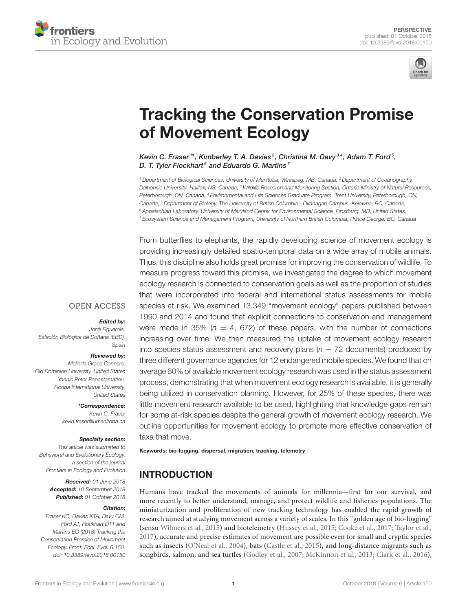



# [Tracking the Conservation Promise](https://www.frontiersin.org/articles/10.3389/fevo.2018.00150/full) of Movement Ecology

[Kevin C. Fraser](http://loop.frontiersin.org/people/570580/overview)<sup>1\*</sup>, [Kimberley T. A. Davies](http://loop.frontiersin.org/people/601555/overview)<sup>2</sup>, Christina M. Davy<sup>3,4</sup>, [Adam T. Ford](http://loop.frontiersin.org/people/595974/overview)<sup>5</sup>, [D. T. Tyler Flockhart](http://loop.frontiersin.org/people/595884/overview)<sup>6</sup> and [Eduardo G. Martins](http://loop.frontiersin.org/people/616506/overview)<sup>7</sup>

<sup>1</sup> Department of Biological Sciences, University of Manitoba, Winnipeg, MB, Canada, <sup>2</sup> Department of Oceanography, Dalhousie University, Halifax, NS, Canada, <sup>3</sup> Wildlife Research and Monitoring Section, Ontario Ministry of Natural Resources, Peterborough, ON, Canada, <sup>4</sup> Environmental and Life Sciences Graduate Program, Trent University, Peterborough, ON, Canada, <sup>5</sup> Department of Biology, The University of British Columbia - Okanagan Campus, Kelowna, BC, Canada, <sup>6</sup> Appalachian Laboratory, University of Maryland Center for Environmental Science, Frostburg, MD, United States, <sup>7</sup> Ecosystem Science and Management Program, University of Northern British Columbia, Prince George, BC, Canada

From butterflies to elephants, the rapidly developing science of movement ecology is providing increasingly detailed spatio-temporal data on a wide array of mobile animals. Thus, this discipline also holds great promise for improving the conservation of wildlife. To measure progress toward this promise, we investigated the degree to which movement ecology research is connected to conservation goals as well as the proportion of studies that were incorporated into federal and international status assessments for mobile species at risk. We examined 13,349 "movement ecology" papers published between 1990 and 2014 and found that explicit connections to conservation and management were made in 35% ( $n = 4$ , 672) of these papers, with the number of connections increasing over time. We then measured the uptake of movement ecology research into species status assessment and recovery plans  $(n = 72$  documents) produced by three different governance agencies for 12 endangered mobile species. We found that on average 60% of available movement ecology research was used in the status assessment process, demonstrating that when movement ecology research is available, it is generally being utilized in conservation planning. However, for 25% of these species, there was little movement research available to be used, highlighting that knowledge gaps remain for some at-risk species despite the general growth of movement ecology research. We outline opportunities for movement ecology to promote more effective conservation of taxa that move.

Keywords: bio-logging, dispersal, migration, tracking, telemetry

# INTRODUCTION

Humans have tracked the movements of animals for millennia—first for our survival, and more recently to better understand, manage, and protect wildlife and fisheries populations. The miniaturization and proliferation of new tracking technology has enabled the rapid growth of research aimed at studying movement across a variety of scales. In this "golden age of bio-logging" (sensu [Wilmers et al., 2015\)](#page-7-0) and biotelemetry [\(Hussey et al., 2015;](#page-6-0) [Cooke et al., 2017;](#page-6-1) [Taylor et al.,](#page-7-1) [2017\)](#page-7-1), accurate and precise estimates of movement are possible even for small and cryptic species such as insects [\(O'Neal et al., 2004\)](#page-6-2), bats [\(Castle et al., 2015\)](#page-6-3), and long-distance migrants such as songbirds, salmon, and sea turtles [\(Godley et al., 2007;](#page-6-4) [McKinnon et al., 2013;](#page-6-5) [Clark et al., 2016\)](#page-6-6),

### **OPEN ACCESS**

#### Edited by:

Jordi Figuerola, Estación Biológica de Doñana (EBD), Spain

#### Reviewed by:

Melinda Grace Conners, Old Dominion University, United States Yannis Peter Papastamatiou, Florida International University, United States

> \*Correspondence: Kevin C. Fraser [kevin.fraser@umanitoba.ca](mailto:kevin.fraser@umanitoba.ca)

#### Specialty section:

This article was submitted to Behavioral and Evolutionary Ecology, a section of the journal Frontiers in Ecology and Evolution

> Received: 01 June 2018 Accepted: 10 September 2018 Published: 01 October 2018

#### Citation:

Fraser KC, Davies KTA, Davy CM, Ford AT, Flockhart DTT and Martins EG (2018) Tracking the Conservation Promise of Movement Ecology. Front. Ecol. Evol. 6:150. doi: [10.3389/fevo.2018.00150](https://doi.org/10.3389/fevo.2018.00150)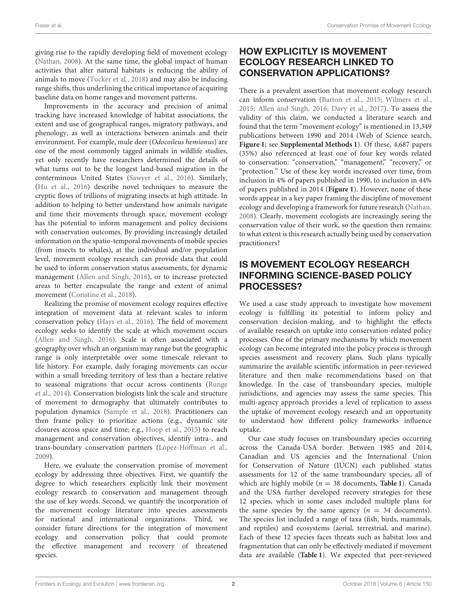giving rise to the rapidly developing field of movement ecology [\(Nathan, 2008\)](#page-6-7). At the same time, the global impact of human activities that alter natural habitats is reducing the ability of animals to move [\(Tucker et al., 2018\)](#page-7-2) and may also be inducing range shifts, thus underlining the critical importance of acquiring baseline data on home ranges and movement patterns.

Improvements in the accuracy and precision of animal tracking have increased knowledge of habitat associations, the extent and use of geographical ranges, migratory pathways, and phenology, as well as interactions between animals and their environment. For example, mule deer (Odocoileus hemionus) are one of the most commonly tagged animals in wildlife studies, yet only recently have researchers determined the details of what turns out to be the longest land-based migration in the conterminous United States [\(Sawyer et al., 2016\)](#page-7-3). Similarly, [\(Hu et al., 2016\)](#page-6-8) describe novel techniques to measure the cryptic flows of trillions of migrating insects at high attitude. In addition to helping to better understand how animals navigate and time their movements through space, movement ecology has the potential to inform management and policy decisions with conservation outcomes. By providing increasingly detailed information on the spatio-temporal movements of mobile species (from insects to whales), at the individual and/or population level, movement ecology research can provide data that could be used to inform conservation status assessments, for dynamic management [\(Allen and Singh, 2016\)](#page-6-9), or to increase protected areas to better encapsulate the range and extent of animal movement [\(Coristine et al., 2018\)](#page-6-10).

Realizing the promise of movement ecology requires effective integration of movement data at relevant scales to inform conservation policy [\(Hays et al., 2016\)](#page-6-11). The field of movement ecology seeks to identify the scale at which movement occurs [\(Allen and Singh, 2016\)](#page-6-9). Scale is often associated with a geography over which an organism may range but the geographic range is only interpretable over some timescale relevant to life history. For example, daily foraging movements can occur within a small breeding territory of less than a hectare relative to seasonal migrations that occur across continents (Runge et al., [2014\)](#page-7-4). Conservation biologists link the scale and structure of movement to demography that ultimately contributes to population dynamics [\(Sample et al., 2018\)](#page-7-5). Practitioners can then frame policy to prioritize actions (e.g., dynamic site closures across space and time; e.g., [Hoop et al., 2015\)](#page-6-12) to reach management and conservation objectives, identify intra-, and trans-boundary conservation partners [\(López-Hoffman et al.,](#page-6-13) [2009\)](#page-6-13).

Here, we evaluate the conservation promise of movement ecology by addressing three objectives. First, we quantify the degree to which researchers explicitly link their movement ecology research to conservation and management through the use of key words. Second, we quantify the incorporation of the movement ecology literature into species assessments for national and international organizations. Third, we consider future directions for the integration of movement ecology and conservation policy that could promote the effective management and recovery of threatened species.

# HOW EXPLICITLY IS MOVEMENT ECOLOGY RESEARCH LINKED TO CONSERVATION APPLICATIONS?

There is a prevalent assertion that movement ecology research can inform conservation [\(Barton et al., 2015;](#page-6-14) [Wilmers et al.,](#page-7-0) [2015;](#page-7-0) [Allen and Singh, 2016;](#page-6-9) [Davy et al., 2017\)](#page-6-15). To assess the validity of this claim, we conducted a literature search and found that the term "movement ecology" is mentioned in 13,349 publications between 1990 and 2014 (Web of Science search, **[Figure 1](#page-2-0)**; see **[Supplemental Methods 1](#page-6-16)**). Of these, 4,687 papers (35%) also referenced at least one of four key words related to conservation: "conservation," "management," "recovery," or "protection." Use of these key words increased over time, from inclusion in 4% of papers published in 1990, to inclusion in 44% of papers published in 2014 (**[Figure 1](#page-2-0)**). However, none of these words appear in a key paper framing the discipline of movement ecology and developing a framework for future research [\(Nathan,](#page-6-7) [2008\)](#page-6-7). Clearly, movement ecologists are increasingly seeing the conservation value of their work, so the question then remains: to what extent is this research actually being used by conservation practitioners?

# IS MOVEMENT ECOLOGY RESEARCH INFORMING SCIENCE-BASED POLICY PROCESSES?

We used a case study approach to investigate how movement ecology is fulfilling its potential to inform policy and conservation decision-making, and to highlight the effects of available research on uptake into conservation-related policy processes. One of the primary mechanisms by which movement ecology can become integrated into the policy process is through species assessment and recovery plans. Such plans typically summarize the available scientific information in peer-reviewed literature and then make recommendations based on that knowledge. In the case of transboundary species, multiple jurisdictions, and agencies may assess the same species. This multi-agency approach provides a level of replication to assess the uptake of movement ecology research and an opportunity to understand how different policy frameworks influence uptake.

Our case study focuses on transboundary species occurring across the Canada-USA border. Between 1985 and 2014, Canadian and US agencies and the International Union for Conservation of Nature (IUCN) each published status assessments for 12 of the same transboundary species, all of which are highly mobile ( $n = 38$  documents, **[Table 1](#page-3-0)**). Canada and the USA further developed recovery strategies for these 12 species, which in some cases included multiple plans for the same species by the same agency ( $n = 34$  documents). The species list included a range of taxa (fish, birds, mammals, and reptiles) and ecosystems (aerial, terrestrial, and marine). Each of these 12 species faces threats such as habitat loss and fragmentation that can only be effectively mediated if movement data are available (**[Table 1](#page-3-0)**). We expected that peer-reviewed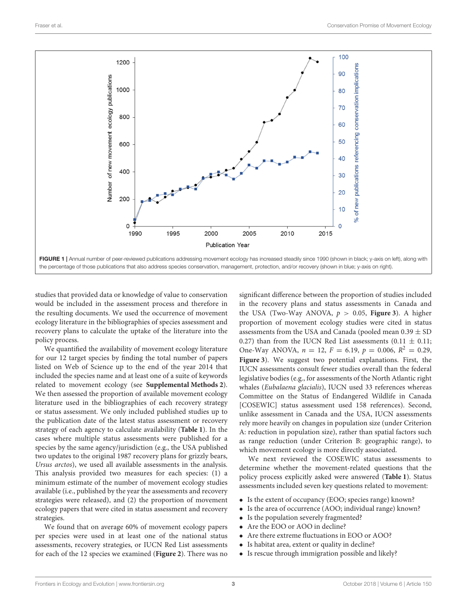

<span id="page-2-0"></span>studies that provided data or knowledge of value to conservation would be included in the assessment process and therefore in the resulting documents. We used the occurrence of movement ecology literature in the bibliographies of species assessment and recovery plans to calculate the uptake of the literature into the policy process.

We quantified the availability of movement ecology literature for our 12 target species by finding the total number of papers listed on Web of Science up to the end of the year 2014 that included the species name and at least one of a suite of keywords related to movement ecology (see **[Supplemental Methods 2](#page-6-16)**). We then assessed the proportion of available movement ecology literature used in the bibliographies of each recovery strategy or status assessment. We only included published studies up to the publication date of the latest status assessment or recovery strategy of each agency to calculate availability (**[Table 1](#page-3-0)**). In the cases where multiple status assessments were published for a species by the same agency/jurisdiction (e.g., the USA published two updates to the original 1987 recovery plans for grizzly bears, Ursus arctos), we used all available assessments in the analysis. This analysis provided two measures for each species: (1) a minimum estimate of the number of movement ecology studies available (i.e., published by the year the assessments and recovery strategies were released), and (2) the proportion of movement ecology papers that were cited in status assessment and recovery strategies.

We found that on average 60% of movement ecology papers per species were used in at least one of the national status assessments, recovery strategies, or IUCN Red List assessments for each of the 12 species we examined (**[Figure 2](#page-4-0)**). There was no significant difference between the proportion of studies included in the recovery plans and status assessments in Canada and the USA (Two-Way ANOVA,  $p > 0.05$ , **[Figure 3](#page-4-1)**). A higher proportion of movement ecology studies were cited in status assessments from the USA and Canada (pooled mean  $0.39 \pm SD$ 0.27) than from the IUCN Red List assessments  $(0.11 \pm 0.11;$ One-Way ANOVA,  $n = 12$ ,  $F = 6.19$ ,  $p = 0.006$ ,  $R^2 = 0.29$ , **[Figure 3](#page-4-1)**). We suggest two potential explanations. First, the IUCN assessments consult fewer studies overall than the federal legislative bodies (e.g., for assessments of the North Atlantic right whales (Eubalaena glacialis), IUCN used 33 references whereas Committee on the Status of Endangered Wildlife in Canada [COSEWIC] status assessment used 158 references). Second, unlike assessment in Canada and the USA, IUCN assessments rely more heavily on changes in population size (under Criterion A: reduction in population size), rather than spatial factors such as range reduction (under Criterion B: geographic range), to which movement ecology is more directly associated.

We next reviewed the COSEWIC status assessments to determine whether the movement-related questions that the policy process explicitly asked were answered (**[Table 1](#page-3-0)**). Status assessments included seven key questions related to movement:

- Is the extent of occupancy (EOO; species range) known?
- Is the area of occurrence (AOO; individual range) known?
- Is the population severely fragmented?
- Are the EOO or AOO in decline?
- Are there extreme fluctuations in EOO or AOO?
- Is habitat area, extent or quality in decline?
- Is rescue through immigration possible and likely?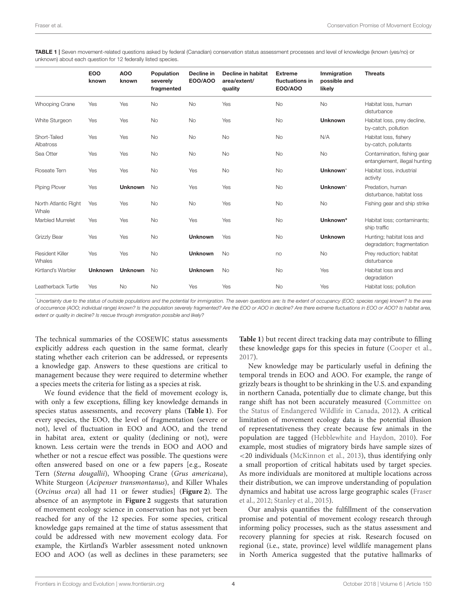<span id="page-3-0"></span>TABLE 1 | Seven movement-related questions asked by federal (Canadian) conservation status assessment processes and level of knowledge (known (yes/no) or unknown) about each question for 12 federally listed species.

|                               | <b>EOO</b><br>known | <b>AOO</b><br>known | Population<br>severely<br>fragmented | Decline in<br><b>EOO/AOO</b> | Decline in habitat<br>area/extent/<br>quality | <b>Extreme</b><br>fluctuations in<br><b>EOO/AOO</b> | Immigration<br>possible and<br>likely | <b>Threats</b>                                               |
|-------------------------------|---------------------|---------------------|--------------------------------------|------------------------------|-----------------------------------------------|-----------------------------------------------------|---------------------------------------|--------------------------------------------------------------|
| <b>Whooping Crane</b>         | Yes                 | Yes                 | <b>No</b>                            | No                           | Yes                                           | <b>No</b>                                           | <b>No</b>                             | Habitat loss, human<br>disturbance                           |
| White Sturgeon                | Yes                 | Yes                 | <b>No</b>                            | <b>No</b>                    | Yes                                           | <b>No</b>                                           | <b>Unknown</b>                        | Habitat loss, prey decline,<br>by-catch, pollution           |
| Short-Tailed<br>Albatross     | Yes                 | Yes                 | <b>No</b>                            | <b>No</b>                    | <b>No</b>                                     | <b>No</b>                                           | N/A                                   | Habitat loss, fishery<br>by-catch, pollutants                |
| Sea Otter                     | Yes                 | Yes                 | <b>No</b>                            | No                           | No                                            | <b>No</b>                                           | <b>No</b>                             | Contamination, fishing gear<br>entanglement, illegal hunting |
| Roseate Tern                  | Yes                 | Yes                 | <b>No</b>                            | Yes                          | <b>No</b>                                     | <b>No</b>                                           | Unknown*                              | Habitat loss, industrial<br>activity                         |
| Piping Plover                 | Yes                 | <b>Unknown</b>      | <b>No</b>                            | Yes                          | Yes                                           | <b>No</b>                                           | Unknown*                              | Predation, human<br>disturbance, habitat loss                |
| North Atlantic Right<br>Whale | Yes                 | Yes                 | <b>No</b>                            | No                           | Yes                                           | <b>No</b>                                           | <b>No</b>                             | Fishing gear and ship strike                                 |
| Marbled Murrelet              | Yes                 | Yes                 | <b>No</b>                            | Yes                          | Yes                                           | <b>No</b>                                           | Unknown*                              | Habitat loss; contaminants;<br>ship traffic                  |
| Grizzly Bear                  | Yes                 | Yes                 | <b>No</b>                            | <b>Unknown</b>               | Yes                                           | <b>No</b>                                           | <b>Unknown</b>                        | Hunting; habitat loss and<br>degradation; fragmentation      |
| Resident Killer<br>Whales     | Yes                 | Yes                 | No                                   | <b>Unknown</b>               | <b>No</b>                                     | no                                                  | No                                    | Prey reduction; habitat<br>disturbance                       |
| Kirtland's Warbler            | <b>Unknown</b>      | <b>Unknown</b>      | <b>No</b>                            | <b>Unknown</b>               | <b>No</b>                                     | <b>No</b>                                           | Yes                                   | Habitat loss and<br>degradation                              |
| Leatherback Turtle            | Yes                 | <b>No</b>           | <b>No</b>                            | Yes                          | Yes                                           | No                                                  | Yes                                   | Habitat loss; pollution                                      |

\*Uncertainty due to the status of outside populations and the potential for immigration. The seven questions are: Is the extent of occupancy (EOO; species range) known? Is the area of occurrence (AOO; individual range) known? Is the population severely fragmented? Are the EOO or AOO in decline? Are there extreme fluctuations in EOO or AOO? Is habitat area, extent or quality in decline? Is rescue through immigration possible and likely?

The technical summaries of the COSEWIC status assessments explicitly address each question in the same format, clearly stating whether each criterion can be addressed, or represents a knowledge gap. Answers to these questions are critical to management because they were required to determine whether a species meets the criteria for listing as a species at risk.

We found evidence that the field of movement ecology is, with only a few exceptions, filling key knowledge demands in species status assessments, and recovery plans (**[Table 1](#page-3-0)**). For every species, the EOO, the level of fragmentation (severe or not), level of fluctuation in EOO and AOO, and the trend in habitat area, extent or quality (declining or not), were known. Less certain were the trends in EOO and AOO and whether or not a rescue effect was possible. The questions were often answered based on one or a few papers [e.g., Roseate Tern (Sterna dougallii), Whooping Crane (Grus americana), White Sturgeon (Acipenser transmontanus), and Killer Whales (Orcinus orca) all had 11 or fewer studies] (**[Figure 2](#page-4-0)**). The absence of an asymptote in **[Figure 2](#page-4-0)** suggests that saturation of movement ecology science in conservation has not yet been reached for any of the 12 species. For some species, critical knowledge gaps remained at the time of status assessment that could be addressed with new movement ecology data. For example, the Kirtland's Warbler assessment noted unknown EOO and AOO (as well as declines in these parameters; see **[Table 1](#page-3-0)**) but recent direct tracking data may contribute to filling these knowledge gaps for this species in future [\(Cooper et al.,](#page-6-17) [2017\)](#page-6-17).

New knowledge may be particularly useful in defining the temporal trends in EOO and AOO. For example, the range of grizzly bears is thought to be shrinking in the U.S. and expanding in northern Canada, potentially due to climate change, but this range shift has not been accurately measured (Committee on the Status of Endangered Wildlife in Canada, [2012\)](#page-6-18). A critical limitation of movement ecology data is the potential illusion of representativeness they create because few animals in the population are tagged [\(Hebblewhite and Haydon, 2010\)](#page-6-19). For example, most studies of migratory birds have sample sizes of <20 individuals [\(McKinnon et al., 2013\)](#page-6-5), thus identifying only a small proportion of critical habitats used by target species. As more individuals are monitored at multiple locations across their distribution, we can improve understanding of population dynamics and habitat use across large geographic scales (Fraser et al., [2012;](#page-6-20) [Stanley et al., 2015\)](#page-7-6).

Our analysis quantifies the fulfillment of the conservation promise and potential of movement ecology research through informing policy processes, such as the status assessment and recovery planning for species at risk. Research focused on regional (i.e., state, province) level wildlife management plans in North America suggested that the putative hallmarks of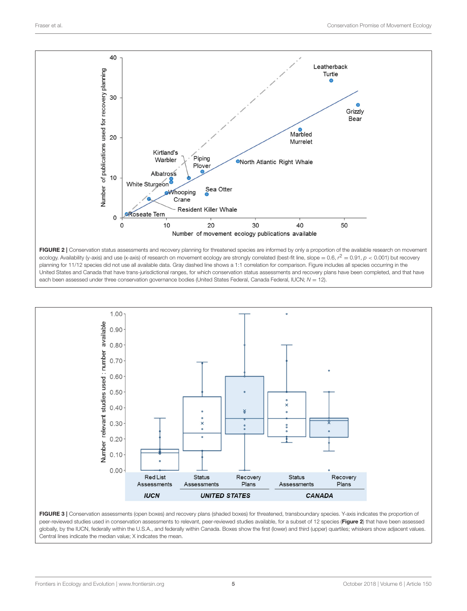

<span id="page-4-0"></span>



<span id="page-4-1"></span>FIGURE 3 | Conservation assessments (open boxes) and recovery plans (shaded boxes) for threatened, transboundary species. Y-axis indicates the proportion of peer-reviewed studies used in conservation assessments to relevant, peer-reviewed studies available, for a subset of 12 species ([Figure 2](#page-4-0)) that have been assessed globally, by the IUCN, federally within the U.S.A., and federally within Canada. Boxes show the first (lower) and third (upper) quartiles; whiskers show adjacent values. Central lines indicate the median value; X indicates the mean.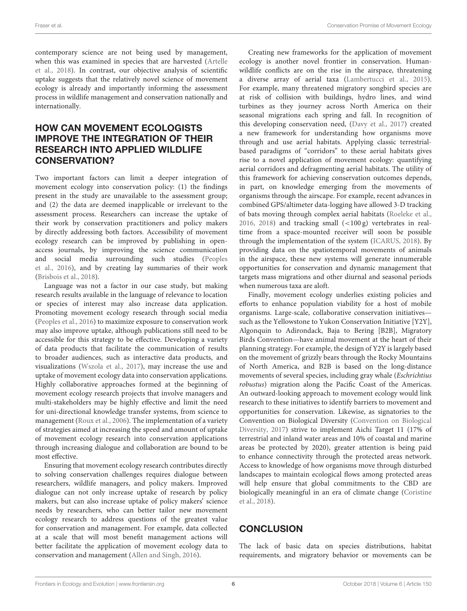Fraser et al. Conservation Promise of Movement Ecology

contemporary science are not being used by management, when this was examined in species that are harvested (Artelle et al., [2018\)](#page-6-21). In contrast, our objective analysis of scientific uptake suggests that the relatively novel science of movement ecology is already and importantly informing the assessment process in wildlife management and conservation nationally and internationally.

# HOW CAN MOVEMENT ECOLOGISTS IMPROVE THE INTEGRATION OF THEIR RESEARCH INTO APPLIED WILDLIFE CONSERVATION?

Two important factors can limit a deeper integration of movement ecology into conservation policy: (1) the findings present in the study are unavailable to the assessment group; and (2) the data are deemed inapplicable or irrelevant to the assessment process. Researchers can increase the uptake of their work by conservation practitioners and policy makers by directly addressing both factors. Accessibility of movement ecology research can be improved by publishing in openaccess journals, by improving the science communication and social media surrounding such studies (Peoples et al., [2016\)](#page-7-7), and by creating lay summaries of their work [\(Brisbois et al., 2018\)](#page-6-22).

Language was not a factor in our case study, but making research results available in the language of relevance to location or species of interest may also increase data application. Promoting movement ecology research through social media [\(Peoples et al., 2016\)](#page-7-7) to maximize exposure to conservation work may also improve uptake, although publications still need to be accessible for this strategy to be effective. Developing a variety of data products that facilitate the communication of results to broader audiences, such as interactive data products, and visualizations [\(Wszola et al., 2017\)](#page-7-8), may increase the use and uptake of movement ecology data into conservation applications. Highly collaborative approaches formed at the beginning of movement ecology research projects that involve managers and multi-stakeholders may be highly effective and limit the need for uni-directional knowledge transfer systems, from science to management [\(Roux et al., 2006\)](#page-7-9). The implementation of a variety of strategies aimed at increasing the speed and amount of uptake of movement ecology research into conservation applications through increasing dialogue and collaboration are bound to be most effective.

Ensuring that movement ecology research contributes directly to solving conservation challenges requires dialogue between researchers, wildlife managers, and policy makers. Improved dialogue can not only increase uptake of research by policy makers, but can also increase uptake of policy makers' science needs by researchers, who can better tailor new movement ecology research to address questions of the greatest value for conservation and management. For example, data collected at a scale that will most benefit management actions will better facilitate the application of movement ecology data to conservation and management [\(Allen and Singh, 2016\)](#page-6-9).

Creating new frameworks for the application of movement ecology is another novel frontier in conservation. Humanwildlife conflicts are on the rise in the airspace, threatening a diverse array of aerial taxa [\(Lambertucci et al., 2015\)](#page-6-23). For example, many threatened migratory songbird species are at risk of collision with buildings, hydro lines, and wind turbines as they journey across North America on their seasonal migrations each spring and fall. In recognition of this developing conservation need, [\(Davy et al., 2017\)](#page-6-15) created a new framework for understanding how organisms move through and use aerial habitats. Applying classic terrestrialbased paradigms of "corridors" to these aerial habitats gives rise to a novel application of movement ecology: quantifying aerial corridors and defragmenting aerial habitats. The utility of this framework for achieving conservation outcomes depends, in part, on knowledge emerging from the movements of organisms through the airscape. For example, recent advances in combined GPS/altimeter data-logging have allowed 3-D tracking of bats moving through complex aerial habitats [\(Roeleke et al.,](#page-7-10) [2016,](#page-7-10) [2018\)](#page-7-11) and tracking small  $\left($ <100 g) vertebrates in realtime from a space-mounted receiver will soon be possible through the implementation of the system [\(ICARUS, 2018\)](#page-6-24). By providing data on the spatiotemporal movements of animals in the airspace, these new systems will generate innumerable opportunities for conservation and dynamic management that targets mass migrations and other diurnal and seasonal periods when numerous taxa are aloft.

Finally, movement ecology underlies existing policies and efforts to enhance population viability for a host of mobile organisms. Large-scale, collaborative conservation initiatives such as the Yellowstone to Yukon Conservation Initiative [Y2Y], Algonquin to Adirondack, Baja to Bering [B2B], Migratory Birds Convention—have animal movement at the heart of their planning strategy. For example, the design of Y2Y is largely based on the movement of grizzly bears through the Rocky Mountains of North America, and B2B is based on the long-distance movements of several species, including gray whale (Eschrichtius robustus) migration along the Pacific Coast of the Americas. An outward-looking approach to movement ecology would link research to these initiatives to identify barriers to movement and opportunities for conservation. Likewise, as signatories to the Convention on Biological Diversity (Convention on Biological Diversity, [2017\)](#page-6-25) strive to implement Aichi Target 11 (17% of terrestrial and inland water areas and 10% of coastal and marine areas be protected by 2020), greater attention is being paid to enhance connectivity through the protected areas network. Access to knowledge of how organisms move through disturbed landscapes to maintain ecological flows among protected areas will help ensure that global commitments to the CBD are biologically meaningful in an era of climate change (Coristine et al., [2018\)](#page-6-10).

# **CONCLUSION**

The lack of basic data on species distributions, habitat requirements, and migratory behavior or movements can be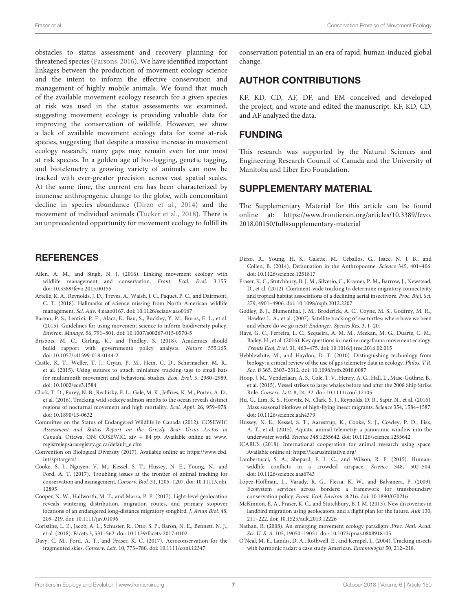obstacles to status assessment and recovery planning for threatened species [\(Parsons, 2016\)](#page-7-12). We have identified important linkages between the production of movement ecology science and the intent to inform the effective conservation and management of highly mobile animals. We found that much of the available movement ecology research for a given species at risk was used in the status assessments we examined, suggesting movement ecology is providing valuable data for improving the conservation of wildlife. However, we show a lack of available movement ecology data for some at-risk species, suggesting that despite a massive increase in movement ecology research, many gaps may remain even for our most at risk species. In a golden age of bio-logging, genetic tagging, and biotelemetry a growing variety of animals can now be tracked with ever-greater precision across vast spatial scales. At the same time, the current era has been characterized by immense anthropogenic change to the globe, with concomitant decline in species abundance [\(Dirzo et al., 2014\)](#page-6-26) and the movement of individual animals [\(Tucker et al., 2018\)](#page-7-2). There is an unprecedented opportunity for movement ecology to fulfill its

### **REFERENCES**

- <span id="page-6-9"></span>Allen, A. M., and Singh, N. J. (2016). Linking movement ecology with wildlife management and conservation. Front. Ecol. Evol. 3:155. doi: [10.3389/fevo.2015.00155](https://doi.org/10.3389/fevo.2015.00155)
- <span id="page-6-21"></span>Artelle, K. A., Reynolds, J. D., Treves, A., Walsh, J. C., Paquet, P. C., and Dairmont, C. T. (2018). Hallmarks of science missing from North American wildlife management. Sci. Adv. 4:eaao0167. doi: [10.1126/sciadv.aao0167](https://doi.org/10.1126/sciadv.aao0167)
- <span id="page-6-14"></span>Barton, P. S., Lentini, P. E., Alacs, E., Bau, S., Buckley, Y. M., Burns, E. L., et al. (2015). Guidelines for using movement science to inform biodiversity policy. Environ. Manage. 56, 791–801. doi: [10.1007/s00267-015-0570-5](https://doi.org/10.1007/s00267-015-0570-5)
- <span id="page-6-22"></span>Brisbois, M. C., Girling, K., and Findlay, S. (2018). Academics should build rapport with government's policy analysts. Nature 555:165. doi: [10.1057/s41599-018-0144-2](https://doi.org/10.1057/s41599-018-0144-2)
- <span id="page-6-3"></span>Castle, K. T., Weller, T. J., Cryan, P. M., Hein, C. D., Schirmacher, M. R., et al. (2015). Using sutures to attach miniature tracking tags to small bats for multimonth movement and behavioral studies. Ecol. Evol. 5, 2980–2989. doi: [10.1002/ece3.1584](https://doi.org/10.1002/ece3.1584)
- <span id="page-6-6"></span>Clark, T. D., Furey, N. B., Rechisky, E. L., Gale, M. K., Jeffries, K. M., Porter, A. D., et al. (2016). Tracking wild sockeye salmon smolts to the ocean reveals distinct regions of nocturnal movement and high mortality. Ecol. Appl. 26, 959–978. doi: [10.1890/15-0632](https://doi.org/10.1890/15-0632)
- <span id="page-6-18"></span>Committee on the Status of Endangered Wildlife in Canada (2012). COSEWIC Assessment and Status Report on the Grizzly Bear Ursus Arctos in Canada. Ottawa, ON: COSEWIC. xiv  $+$  84 pp. Available online at: [www.](www.registrelepsararegistry.gc.ca/default_e.cfm) [registrelepsararegistry.gc.ca/default\\_e.cfm](www.registrelepsararegistry.gc.ca/default_e.cfm)
- <span id="page-6-25"></span>Convention on Biological Diversity (2017). Available online at: [https://www.cbd.](https://www.cbd.int/sp/targets/) [int/sp/targets/](https://www.cbd.int/sp/targets/)
- <span id="page-6-1"></span>Cooke, S. J., Nguyen, V. M., Kessel, S. T., Hussey, N. E., Young, N., and Ford, A. T. (2017). Troubling issues at the frontier of animal tracking for conservation and management. Conserv. Biol. [31, 1205–1207. doi: 10.1111/cobi.](https://doi.org/10.1111/cobi.12895) 12895
- <span id="page-6-17"></span>Cooper, N. W., Hallworth, M. T., and Marra, P. P. (2017). Light-level geolocation reveals wintering distribution, migration routes, and primary stopover locations of an endangered long-distance migratory songbird. J. Avian Biol. 48, 209–219. doi: [10.1111/jav.01096](https://doi.org/10.1111/jav.01096)
- <span id="page-6-10"></span>Coristine, L. E., Jacob, A. L., Schuster, R., Otto, S. P., Baron, N. E., Bennett, N. J., et al. (2018). Facets 3, 531–562. doi: [10.1139/facets-2017-0102](https://doi.org/10.1139/facets-2017-0102)
- <span id="page-6-15"></span>Davy, C. M., Ford, A. T., and Fraser, K. C. (2017). Aeroconservation for the fragmented skies. Conserv. Lett. 10, 773–780. doi: [10.1111/conl.12347](https://doi.org/10.1111/conl.12347)

conservation potential in an era of rapid, human-induced global change.

### AUTHOR CONTRIBUTIONS

KF, KD, CD, AF, DF, and EM conceived and developed the project, and wrote and edited the manuscript. KF, KD, CD, and AF analyzed the data.

#### FUNDING

This research was supported by the Natural Sciences and Engineering Research Council of Canada and the University of Manitoba and Liber Ero Foundation.

### SUPPLEMENTARY MATERIAL

<span id="page-6-16"></span>The Supplementary Material for this article can be found [online at: https://www.frontiersin.org/articles/10.3389/fevo.](https://www.frontiersin.org/articles/10.3389/fevo.2018.00150/full#supplementary-material) 2018.00150/full#supplementary-material

- <span id="page-6-26"></span>Dirzo, R., Young, H. S., Galette, M., Ceballos, G., Isacc, N. J. B., and Collen, B. (2014). Defaunation in the Anthropocene. Science 345, 401–406. doi: [10.1126/science.1251817](https://doi.org/10.1126/science.1251817)
- <span id="page-6-20"></span>Fraser, K. C., Stutchbury, B. J. M., Silverio, C., Kramer, P. M., Barrow, J., Newstead, D., et al. (2012). Continent-wide tracking to determine migratory connectivity and tropical habitat associations of a declining aerial insectivore. Proc. Biol. Sci. 279, 4901–4906. doi: [10.1098/rspb.2012.2207](https://doi.org/10.1098/rspb.2012.2207)
- <span id="page-6-4"></span>Godley, B. J., Blumenthal, J. M., Broderick, A. C., Coyne, M. S., Godfrey, M. H., Hawkes L. A., et al. (2007). Satellite tracking of sea turtles: where have we been and where do we go next? Endanger. Species Res. 3, 1–20.
- <span id="page-6-11"></span>Hays, G. C., Ferreira, L. C., Sequeira, A. M. M., Meekan, M. G., Duarte, C. M., Bailey, H., et al. (2016). Key questions in marine megafauna movement ecology. Trends Ecol. Evol. 31, 463–475. doi: [10.1016/j.tree.2016.02.015](https://doi.org/10.1016/j.tree.2016.02.015)
- <span id="page-6-19"></span>Hebblewhite, M., and Haydon, D. T. (2010). Distinguishing technology from biology: a critical review of the use of gps telemetry data in ecology. Philos. T R. Soc. B 365, 2303–2312. doi: [10.1098/rstb.2010.0087](https://doi.org/10.1098/rstb.2010.0087)
- <span id="page-6-12"></span>Hoop, J. M., Venderlaan, A. S., Cole, T. V., Henry, A. G., Hall, L., Mase-Guthrie, B., et al. (2015). Vessel strikes to large whales before and after the 2008 Ship Strike Rule. Conserv. Lett. 8, 24–32. doi: [10.1111/conl.12105](https://doi.org/10.1111/conl.12105)
- <span id="page-6-8"></span>Hu, G., Lim, K. S., Horvitz, N., Clark, S. J., Reynolds, D. R., Sapir, N., et al. (2016). Mass seasonal bioflows of high-flying insect migrants. Science 354, 1584–1587. doi: [10.1126/science.aah4379](https://doi.org/10.1126/science.aah4379)
- <span id="page-6-0"></span>Hussey, N. E., Kessel, S. T., Aarestrup, K., Cooke, S. J., Cowley, P. D., Fisk, A. T., et al. (2015). Aquatic animal telemetry: a panoramic window into the underwater world. Science 348:1255642. doi: [10.1126/science.1255642](https://doi.org/10.1126/science.1255642)
- <span id="page-6-24"></span>ICARUS (2018). International cooperation for animal research using space. Available online at:<https://icarusinitiative.org/>
- <span id="page-6-23"></span>Lambertucci, S. A., Shepard, E. L. C., and Wilson, R. P. (2015). Humanwildlife conflicts in a crowded airspace. Science 348, 502–504. doi: [10.1126/science.aaa6743](https://doi.org/10.1126/science.aaa6743)
- <span id="page-6-13"></span>López-Hoffman, L., Varady, R. G., Flessa, K. W., and Balvanera, P. (2009). Ecosystem services across borders: a framework for transboundary conservation policy. Front. Ecol. Environ. 8:216. doi: [10.1890/070216](https://doi.org/10.1890/070216)
- <span id="page-6-5"></span>McKinnon, E. A., Fraser, K. C., and Stutchbury, B. J. M. (2013). New discoveries in landbird migration using geolocators, and a flight plan for the future. Auk 130, 211–222. doi: [10.1525/auk.2013.12226](https://doi.org/10.1525/auk.2013.12226)
- <span id="page-6-7"></span>Nathan, R. (2008). An emerging movement ecology paradigm .Proc. Natl. Acad. Sci. U. S. A. 105, 19050–19051. doi: [10.1073/pnas.0808918105](https://doi.org/10.1073/pnas.0808918105)
- <span id="page-6-2"></span>O'Neal, M. E., Landis, D. A., Rothwell, E., and Kempel, L. (2004). Tracking insects with harmonic radar: a case study American. Entomologist 50, 212–218.